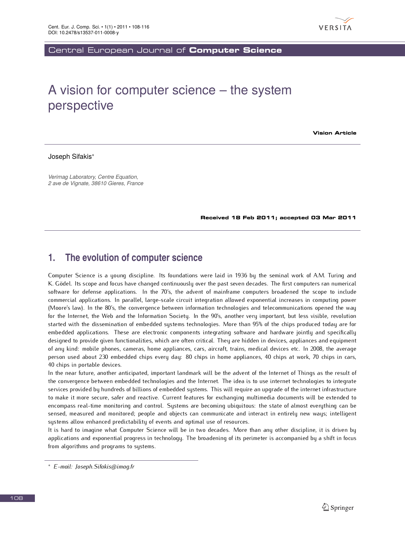

Central European Journal of **Computer Science**

# A vision for computer science – the system perspective

**Vision Article**

### Joseph Sifakis*<sup>∗</sup>*

*Verimag Laboratory, Centre Equation, 2 ave de Vignate, 38610 Gieres, France*

**Received 18 Feb 2011; accepted 03 Mar 2011**

# **1. The evolution of computer science**

Computer Science is a young discipline. Its foundations were laid in 1936 by the seminal work of A.M. Turing and K. Gödel. Its scope and focus have changed continuously over the past seven decades. The first computers ran numerical software for defense applications. In the 70's, the advent of mainframe computers broadened the scope to include commercial applications. In parallel, large-scale circuit integration allowed exponential increases in computing power (Moore's law). In the 80's, the convergence between information technologies and telecommunications opened the way for the Internet, the Web and the Information Society. In the 90's, another very important, but less visible, revolution started with the dissemination of embedded systems technologies. More than 95% of the chips produced today are for embedded applications. These are electronic components integrating software and hardware jointly and specifically designed to provide given functionalities, which are often critical. They are hidden in devices, appliances and equipment of any kind: mobile phones, cameras, home appliances, cars, aircraft, trains, medical devices etc. In 2008, the average person used about 230 embedded chips every day: 80 chips in home appliances, 40 chips at work, 70 chips in cars, 40 chips in portable devices.

In the near future, another anticipated, important landmark will be the advent of the Internet of Things as the result of the convergence between embedded technologies and the Internet. The idea is to use internet technologies to integrate services provided by hundreds of billions of embedded systems. This will require an upgrade of the internet infrastructure to make it more secure, safer and reactive. Current features for exchanging multimedia documents will be extended to encompass real-time monitoring and control. Systems are becoming ubiquitous: the state of almost everything can be sensed, measured and monitored; people and objects can communicate and interact in entirely new ways; intelligent systems allow enhanced predictability of events and optimal use of resources.

It is hard to imagine what Computer Science will be in two decades. More than any other discipline, it is driven by applications and exponential progress in technology. The broadening of its perimeter is accompanied by a shift in focus from algorithms and programs to systems.

*<sup>∗</sup> E-mail: Joseph.Sifakis@imag.fr*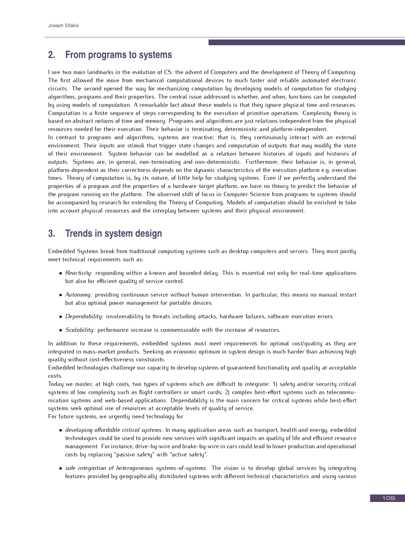# **2. From programs to systems**

I see two main landmarks in the evolution of CS: the advent of Computers and the development of Theory of Computing. The first allowed the move from mechanical computational devices to much faster and reliable automated electronic circuits. The second opened the way for mechanizing computation by developing models of computation for studying algorithms, programs and their properties. The central issue addressed is whether, and when, functions can be computed by using models of computation. A remarkable fact about these models is that they ignore physical time and resources. Computation is a finite sequence of steps corresponding to the execution of primitive operations. Complexity theory is based on abstract notions of time and memory. Programs and algorithms are just relations independent from the physical resources needed for their execution. Their behavior is terminating, deterministic and platform-independent. In contrast to programs and algorithms, systems are reactive; that is, they continuously interact with an external

environment. Their inputs are stimuli that trigger state changes and computation of outputs that may modify the state of their environment. System behavior can be modelled as a relation between histories of inputs and histories of outputs. Systems are, in general, non-terminating and non-deterministic. Furthermore, their behavior is, in general, platform-dependent as their correctness depends on the dynamic characteristics of the execution platform e.g. execution times. Theory of computation is, by its nature, of little help for studying systems. Even if we perfectly understand the properties of a program and the properties of a hardware target platform, we have no theory to predict the behavior of the program running on the platform. The observed shift of focus in Computer Science from programs to systems should be accompanied by research for extending the Theory of Computing. Models of computation should be enriched to take into account physical resources and the interplay between systems and their physical environment.

# **3. Trends in system design**

Embedded Systems break from traditional computing systems such as desktop computers and servers. They must jointly meet technical requirements such as:

- *Reactivity*: responding within a known and bounded delay. This is essential not only for real-time applications but also for efficient quality of service control.
- *Autonomy*: providing continuous service without human intervention. In particular, this means no manual restart but also optimal power management for portable devices.
- *Dependability*: invulnerability to threats including attacks, hardware failures, software execution errors.
- *Scalability*: performance increase is commensurable with the increase of resources.

In addition to these requirements, embedded systems must meet requirements for optimal cost/quality as they are integrated in mass-market products. Seeking an economic optimum in system design is much harder than achieving high quality without cost-effectiveness constraints.

Embedded technologies challenge our capacity to develop systems of guaranteed functionality and quality at acceptable costs.

Today we master, at high costs, two types of systems which are difficult to integrate: 1) safety and/or security critical systems of low complexity such as flight controllers or smart cards; 2) complex best-effort systems such as telecommunication systems and web-based applications. Dependability is the main concern for critical systems while best-effort systems seek optimal use of resources at acceptable levels of quality of service.

For future systems, we urgently need technology for

- *developing affordable critical systems*. In many application areas such as transport, health and energy, embedded technologies could be used to provide new services with significant impacts on quality of life and efficient resource management. For instance, drive-by-wire and brake-by-wire in cars could lead to lower production and operational costs by replacing "passive safety" with "active safety".
- *safe integration of heterogeneous systems-of-systems*. The vision is to develop global services by integrating features provided by geographically distributed systems with different technical characteristics and using various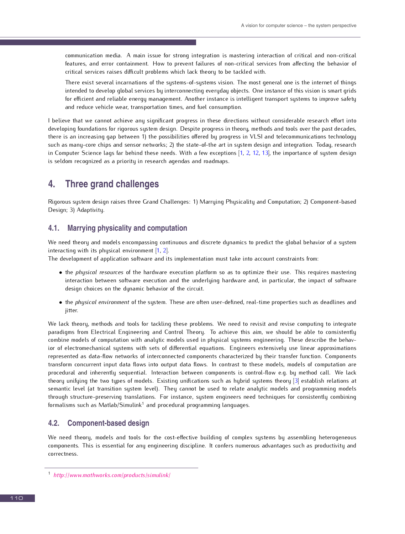communication media. A main issue for strong integration is mastering interaction of critical and non-critical features, and error containment. How to prevent failures of non-critical services from affecting the behavior of critical services raises difficult problems which lack theory to be tackled with.

There exist several incarnations of the systems-of-systems vision. The most general one is the internet of things intended to develop global services by interconnecting everyday objects. One instance of this vision is smart grids for efficient and reliable energy management. Another instance is intelligent transport systems to improve safety and reduce vehicle wear, transportation times, and fuel consumption.

I believe that we cannot achieve any significant progress in these directions without considerable research effort into developing foundations for rigorous system design. Despite progress in theory, methods and tools over the past decades, there is an increasing gap between 1) the possibilities offered by progress in VLSI and telecommunications technology such as many-core chips and sensor networks; 2) the state-of-the art in system design and integration. Today, research in Computer Science lags far behind these needs. With a few exceptions [\[1,](#page-7-0) [2,](#page-7-1) [12,](#page-8-0) [13\]](#page-8-1), the importance of system design is seldom recognized as a priority in research agendas and roadmaps.

# **4. Three grand challenges**

Rigorous system design raises three Grand Challenges: 1) Marrying Physicality and Computation; 2) Component-based Design; 3) Adaptivity.

## **4.1. Marrying physicality and computation**

We need theory and models encompassing continuous and discrete dynamics to predict the global behavior of a system interacting with its physical environment [\[1,](#page-7-0) [2\]](#page-7-1).

The development of application software and its implementation must take into account constraints from:

- the *physical resources* of the hardware execution platform so as to optimize their use. This requires mastering interaction between software execution and the underlying hardware and, in particular, the impact of software design choices on the dynamic behavior of the circuit.
- the *physical environment* of the system. These are often user-defined, real-time properties such as deadlines and jitter.

We lack theory, methods and tools for tackling these problems. We need to revisit and revise computing to integrate paradigms from Electrical Engineering and Control Theory. To achieve this aim, we should be able to consistently combine models of computation with analytic models used in physical systems engineering. These describe the behavior of electromechanical systems with sets of differential equations. Engineers extensively use linear approximations represented as data-flow networks of interconnected components characterized by their transfer function. Components transform concurrent input data flows into output data flows. In contrast to these models, models of computation are procedural and inherently sequential. Interaction between components is control-flow e.g. by method call. We lack theory unifying the two types of models. Existing unifications such as hybrid systems theory [\[3\]](#page-7-2) establish relations at semantic level (at transition system level). They cannot be used to relate analytic models and programming models through structure-preserving translations. For instance, system engineers need techniques for consistently combining formalisms such as Matlab/Simulink<sup>1</sup> and procedural programming languages.

### **4.2. Component-based design**

We need theory, models and tools for the cost-effective building of complex systems by assembling heterogeneous components. This is essential for any engineering discipline. It confers numerous advantages such as productivity and correctness.

<sup>1</sup> *<http://www.mathworks.com/products/simulink/>*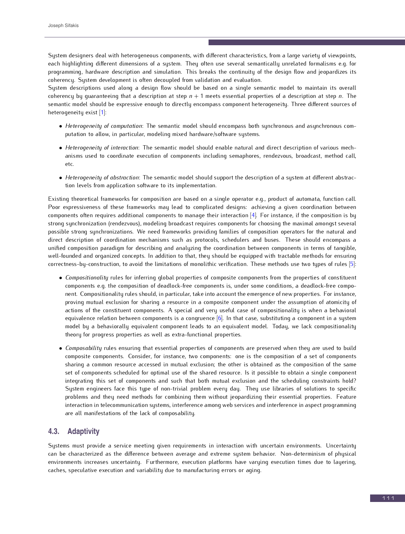System designers deal with heterogeneous components, with different characteristics, from a large variety of viewpoints, each highlighting different dimensions of a system. They often use several semantically unrelated formalisms e.g. for programming, hardware description and simulation. This breaks the continuity of the design flow and jeopardizes its coherency. System development is often decoupled from validation and evaluation.

System descriptions used along a design flow should be based on a single semantic model to maintain its overall coherency by guaranteeing that a description at step *n* + 1 meets essential properties of a description at step *n*. The semantic model should be expressive enough to directly encompass component heterogeneity. Three different sources of heterogeneity exist [\[1\]](#page-7-0):

- *Heterogeneity of computation*: The semantic model should encompass both synchronous and asynchronous computation to allow, in particular, modeling mixed hardware/software systems.
- *Heterogeneity of interaction*: The semantic model should enable natural and direct description of various mechanisms used to coordinate execution of components including semaphores, rendezvous, broadcast, method call, etc.
- *Heterogeneity of abstraction*: The semantic model should support the description of a system at different abstraction levels from application software to its implementation.

Existing theoretical frameworks for composition are based on a single operator e.g., product of automata, function call. Poor expressiveness of these frameworks may lead to complicated designs: achieving a given coordination between components often requires additional components to manage their interaction [\[4\]](#page-7-3). For instance, if the composition is by strong synchronization (rendezvous), modeling broadcast requires components for choosing the maximal amongst several possible strong synchronizations. We need frameworks providing families of composition operators for the natural and direct description of coordination mechanisms such as protocols, schedulers and buses. These should encompass a unified composition paradigm for describing and analyzing the coordination between components in terms of tangible, well-founded and organized concepts. In addition to that, they should be equipped with tractable methods for ensuring correctness-by-construction, to avoid the limitations of monolithic verification. These methods use two types of rules [\[5\]](#page-7-4):

- *Compositionality* rules for inferring global properties of composite components from the properties of constituent components e.g. the composition of deadlock-free components is, under some conditions, a deadlock-free component. Compositionality rules should, in particular, take into account the emergence of new properties. For instance, proving mutual exclusion for sharing a resource in a composite component under the assumption of atomicity of actions of the constituent components. A special and very useful case of compositionality is when a behavioral equivalence relation between components is a congruence  $[6]$ . In that case, substituting a component in a system model by a behaviorally equivalent component leads to an equivalent model. Today, we lack compositionality theory for progress properties as well as extra-functional properties.
- *Composability* rules ensuring that essential properties of components are preserved when they are used to build composite components. Consider, for instance, two components: one is the composition of a set of components sharing a common resource accessed in mutual exclusion; the other is obtained as the composition of the same set of components scheduled for optimal use of the shared resource. Is it possible to obtain a single component integrating this set of components and such that both mutual exclusion and the scheduling constraints hold? System engineers face this type of non-trivial problem every day. They use libraries of solutions to specific problems and they need methods for combining them without jeopardizing their essential properties. Feature interaction in telecommunication systems, interference among web services and interference in aspect programming are all manifestations of the lack of composability.

### **4.3. Adaptivity**

Systems must provide a service meeting given requirements in interaction with uncertain environments. Uncertainty can be characterized as the difference between average and extreme system behavior. Non-determinism of physical environments increases uncertainty. Furthermore, execution platforms have varying execution times due to layering, caches, speculative execution and variability due to manufacturing errors or aging.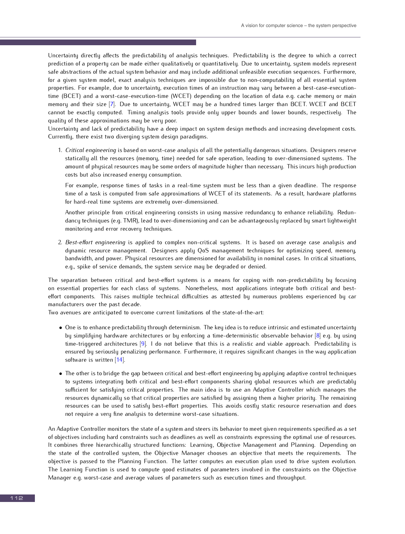Uncertainty directly affects the predictability of analysis techniques. Predictability is the degree to which a correct prediction of a property can be made either qualitatively or quantitatively. Due to uncertainty, system models represent safe abstractions of the actual system behavior and may include additional unfeasible execution sequences. Furthermore, for a given system model, exact analysis techniques are impossible due to non-computability of all essential system properties. For example, due to uncertainty, execution times of an instruction may vary between a best-case-executiontime (BCET) and a worst-case-execution-time (WCET) depending on the location of data e.g. cache memory or main memory and their size [\[7\]](#page-7-6). Due to uncertainty, WCET may be a hundred times larger than BCET. WCET and BCET cannot be exactly computed. Timing analysis tools provide only upper bounds and lower bounds, respectively. The quality of these approximations may be very poor.

Uncertainty and lack of predictability have a deep impact on system design methods and increasing development costs. Currently, there exist two diverging system design paradigms.

1. *Critical engineering* is based on worst-case analysis of all the potentially dangerous situations. Designers reserve statically all the resources (memory, time) needed for safe operation, leading to over-dimensioned systems. The amount of physical resources may be some orders of magnitude higher than necessary. This incurs high production costs but also increased energy consumption.

For example, response times of tasks in a real-time system must be less than a given deadline. The response time of a task is computed from safe approximations of WCET of its statements. As a result, hardware platforms for hard-real time systems are extremely over-dimensioned.

Another principle from critical engineering consists in using massive redundancy to enhance reliability. Redundancy techniques (e.g. TMR), lead to over-dimensioning and can be advantageously replaced by smart lightweight monitoring and error recovery techniques.

2. *Best-effort engineering* is applied to complex non-critical systems. It is based on average case analysis and dynamic resource management. Designers apply QoS management techniques for optimizing speed, memory, bandwidth, and power. Physical resources are dimensioned for availability in nominal cases. In critical situations, e.g., spike of service demands, the system service may be degraded or denied.

The separation between critical and best-effort systems is a means for coping with non-predictability by focusing on essential properties for each class of systems. Nonetheless, most applications integrate both critical and besteffort components. This raises multiple technical difficulties as attested by numerous problems experienced by car manufacturers over the past decade.

Two avenues are anticipated to overcome current limitations of the state-of-the-art:

- One is to enhance predictability through determinism. The key idea is to reduce intrinsic and estimated uncertainty by simplifying hardware architectures or by enforcing a time-deterministic observable behavior [\[8\]](#page-7-7) e.g. by using time-triggered architectures [\[9\]](#page-8-2). I do not believe that this is a realistic and viable approach. Predictability is ensured by seriously penalizing performance. Furthermore, it requires significant changes in the way application software is written [\[14\]](#page-8-3).
- The other is to bridge the gap between critical and best-effort engineering by applying adaptive control techniques to systems integrating both critical and best-effort components sharing global resources which are predictably sufficient for satisfying critical properties. The main idea is to use an Adaptive Controller which manages the resources dynamically so that critical properties are satisfied by assigning them a higher priority. The remaining resources can be used to satisfy best-effort properties. This avoids costly static resource reservation and does not require a very fine analysis to determine worst-case situations.

An Adaptive Controller monitors the state of a system and steers its behavior to meet given requirements specified as a set of objectives including hard constraints such as deadlines as well as constraints expressing the optimal use of resources. It combines three hierarchically structured functions: Learning, Objective Management and Planning. Depending on the state of the controlled system, the Objective Manager chooses an objective that meets the requirements. The objective is passed to the Planning Function. The latter computes an execution plan used to drive system evolution. The Learning Function is used to compute good estimates of parameters involved in the constraints on the Objective Manager e.g. worst-case and average values of parameters such as execution times and throughput.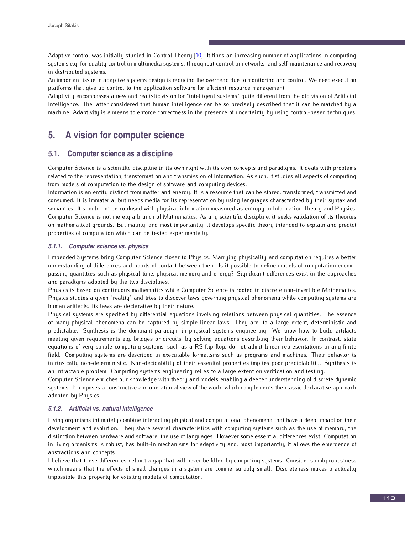Adaptive control was initially studied in Control Theory [\[10\]](#page-8-4). It finds an increasing number of applications in computing systems e.g. for quality control in multimedia systems, throughput control in networks, and self-maintenance and recovery in distributed systems.

An important issue in adaptive systems design is reducing the overhead due to monitoring and control. We need execution platforms that give up control to the application software for efficient resource management.

Adaptivity encompasses a new and realistic vision for "intelligent systems" quite different from the old vision of Artificial Intelligence. The latter considered that human intelligence can be so precisely described that it can be matched by a machine. Adaptivity is a means to enforce correctness in the presence of uncertainty by using control-based techniques.

# **5. A vision for computer science**

### **5.1. Computer science as a discipline**

Computer Science is a scientific discipline in its own right with its own concepts and paradigms. It deals with problems related to the representation, transformation and transmission of Information. As such, it studies all aspects of computing from models of computation to the design of software and computing devices.

Information is an entity distinct from matter and energy. It is a resource that can be stored, transformed, transmitted and consumed. It is immaterial but needs media for its representation by using languages characterized by their syntax and semantics. It should not be confused with physical information measured as entropy in Information Theory and Physics. Computer Science is not merely a branch of Mathematics. As any scientific discipline, it seeks validation of its theories on mathematical grounds. But mainly, and most importantly, it develops specific theory intended to explain and predict properties of computation which can be tested experimentally.

#### *5.1.1. Computer science vs. physics*

Embedded Systems bring Computer Science closer to Physics. Marrying physicality and computation requires a better understanding of differences and points of contact between them. Is it possible to define models of computation encompassing quantities such as physical time, physical memory and energy? Significant differences exist in the approaches and paradigms adopted by the two disciplines.

Physics is based on continuous mathematics while Computer Science is rooted in discrete non-invertible Mathematics. Physics studies a given "reality" and tries to discover laws governing physical phenomena while computing systems are human artifacts. Its laws are declarative by their nature.

Physical systems are specified by differential equations involving relations between physical quantities. The essence of many physical phenomena can be captured by simple linear laws. They are, to a large extent, deterministic and predictable. Synthesis is the dominant paradigm in physical systems engineering. We know how to build artifacts meeting given requirements e.g. bridges or circuits, by solving equations describing their behavior. In contrast, state equations of very simple computing systems, such as a RS flip-flop, do not admit linear representations in any finite field. Computing systems are described in executable formalisms such as programs and machines. Their behavior is intrinsically non-deterministic. Non-decidability of their essential properties implies poor predictability. Synthesis is an intractable problem. Computing systems engineering relies to a large extent on verification and testing.

Computer Science enriches our knowledge with theory and models enabling a deeper understanding of discrete dynamic systems. It proposes a constructive and operational view of the world which complements the classic declarative approach adopted by Physics.

#### *5.1.2. Artificial vs. natural intelligence*

Living organisms intimately combine interacting physical and computational phenomena that have a deep impact on their development and evolution. They share several characteristics with computing systems such as the use of memory, the distinction between hardware and software, the use of languages. However some essential differences exist. Computation in living organisms is robust, has built-in mechanisms for adaptivity and, most importantly, it allows the emergence of abstractions and concepts.

I believe that these differences delimit a gap that will never be filled by computing systems. Consider simply robustness which means that the effects of small changes in a system are commensurably small. Discreteness makes practically impossible this property for existing models of computation.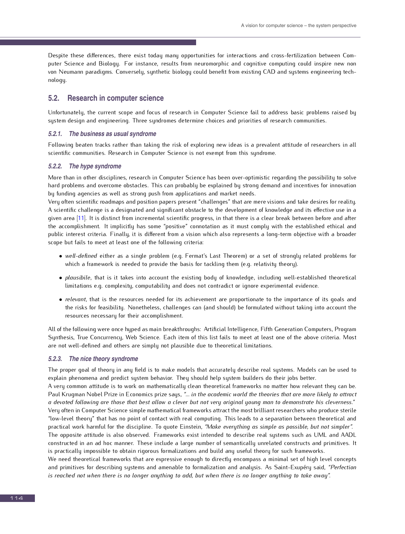Despite these differences, there exist today many opportunities for interactions and cross-fertilization between Computer Science and Biology. For instance, results from neuromorphic and cognitive computing could inspire new non von Neumann paradigms. Conversely, synthetic biology could benefit from existing CAD and systems engineering technology.

### **5.2. Research in computer science**

Unfortunately, the current scope and focus of research in Computer Science fail to address basic problems raised by system design and engineering. Three syndromes determine choices and priorities of research communities.

#### *5.2.1. The business as usual syndrome*

Following beaten tracks rather than taking the risk of exploring new ideas is a prevalent attitude of researchers in all scientific communities. Research in Computer Science is not exempt from this syndrome.

#### *5.2.2. The hype syndrome*

More than in other disciplines, research in Computer Science has been over-optimistic regarding the possibility to solve hard problems and overcome obstacles. This can probably be explained by strong demand and incentives for innovation by funding agencies as well as strong push from applications and market needs.

Very often scientific roadmaps and position papers present "challenges" that are mere visions and take desires for reality. A scientific challenge is a designated and significant obstacle to the development of knowledge and its effective use in a given area [\[11\]](#page-8-5). It is distinct from incremental scientific progress, in that there is a clear break between before and after the accomplishment. It implicitly has some "positive" connotation as it must comply with the established ethical and public interest criteria. Finally, it is different from a vision which also represents a long-term objective with a broader scope but fails to meet at least one of the following criteria:

- *well-defined* either as a single problem (e.g. Fermat's Last Theorem) or a set of strongly related problems for which a framework is needed to provide the basis for tackling them (e.g. relativity theory).
- *plausibile*, that is it takes into account the existing body of knowledge, including well-established theoretical limitations e.g. complexity, computability and does not contradict or ignore experimental evidence.
- *relevant*, that is the resources needed for its achievement are proportionate to the importance of its goals and the risks for feasibility. Nonetheless, challenges can (and should) be formulated without taking into account the resources necessary for their accomplishment.

All of the following were once hyped as main breakthroughs: Artificial Intelligence, Fifth Generation Computers, Program Synthesis, True Concurrency, Web Science. Each item of this list fails to meet at least one of the above criteria. Most are not well-defined and others are simply not plausible due to theoretical limitations.

#### *5.2.3. The nice theory syndrome*

The proper goal of theory in any field is to make models that accurately describe real systems. Models can be used to explain phenomena and predict system behavior. They should help system builders do their jobs better.

A very common attitude is to work on mathematically clean theoretical frameworks no matter how relevant they can be. Paul Krugman Nobel Prize in Economics prize says, *"… in the academic world the theories that are more likely to attract a devoted following are those that best allow a clever but not very original young man to demonstrate his cleverness."* Very often in Computer Science simple mathematical frameworks attract the most brilliant researchers who produce sterile "low-level theory" that has no point of contact with real computing. This leads to a separation between theoretical and practical work harmful for the discipline. To quote Einstein, *"Make everything as simple as possible, but not simpler".*

The opposite attitude is also observed. Frameworks exist intended to describe real systems such as UML and AADL constructed in an ad hoc manner. These include a large number of semantically unrelated constructs and primitives. It is practically impossible to obtain rigorous formalizations and build any useful theory for such frameworks.

We need theoretical frameworks that are expressive enough to directly encompass a minimal set of high level concepts and primitives for describing systems and amenable to formalization and analysis. As Saint-Exupéry said, *"Perfection is reached not when there is no longer anything to add, but when there is no longer anything to take away".*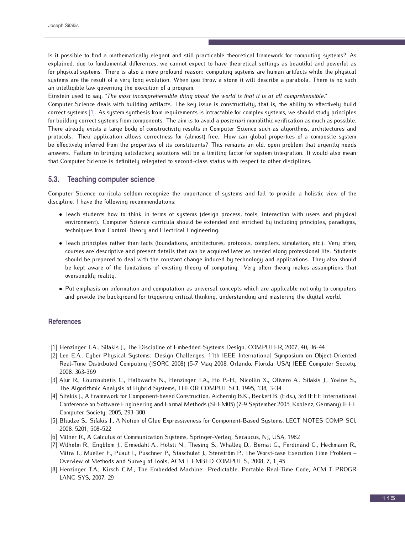Is it possible to find a mathematically elegant and still practicable theoretical framework for computing systems? As explained, due to fundamental differences, we cannot expect to have theoretical settings as beautiful and powerful as for physical systems. There is also a more profound reason: computing systems are human artifacts while the physical systems are the result of a very long evolution. When you throw a stone it will describe a parabola. There is no such an intelligible law governing the execution of a program.

Einstein used to say, *"The most incomprehensible thing about the world is that it is at all comprehensible."*

Computer Science deals with building artifacts. The key issue is constructivity, that is, the ability to effectively build correct systems [\[1\]](#page-7-0). As system synthesis from requirements is intractable for complex systems, we should study principles for building correct systems from components. The aim is to avoid *a posteriori* monolithic verification as much as possible. There already exists a large body of constructivity results in Computer Science such as algorithms, architectures and protocols. Their application allows correctness for (almost) free. How can global properties of a composite system be effectively inferred from the properties of its constituents? This remains an old, open problem that urgently needs answers. Failure in bringing satisfactory solutions will be a limiting factor for system integration. It would also mean that Computer Science is definitely relegated to second-class status with respect to other disciplines.

#### **5.3. Teaching computer science**

Computer Science curricula seldom recognize the importance of systems and fail to provide a holistic view of the discipline. I have the following recommendations:

- Teach students how to think in terms of systems (design process, tools, interaction with users and physical environment). Computer Science curricula should be extended and enriched by including principles, paradigms, techniques from Control Theory and Electrical Engineering.
- Teach principles rather than facts (foundations, architectures, protocols, compilers, simulation, etc.). Very often, courses are descriptive and present details that can be acquired later as needed along professional life. Students should be prepared to deal with the constant change induced by technology and applications. They also should be kept aware of the limitations of existing theory of computing. Very often theory makes assumptions that oversimplify reality.
- Put emphasis on information and computation as universal concepts which are applicable not only to computers and provide the background for triggering critical thinking, understanding and mastering the digital world.

#### **References**

- <span id="page-7-0"></span>[1] Henzinger T.A., Sifakis J., The Discipline of Embedded Systems Design, COMPUTER, 2007, 40, 36-44
- <span id="page-7-1"></span>[2] Lee E.A., Cyber Physical Systems: Design Challenges, 11th IEEE International Symposium on Object-Oriented Real-Time Distributed Computing (ISORC 2008) (5-7 May 2008, Orlando, Florida, USA) IEEE Computer Society, 2008, 363-369
- <span id="page-7-2"></span>[3] Alur R., Courcoubetis C., Halbwachs N., Henzinger T.A., Ho P.-H., Nicollin X., Olivero A., Sifakis J., Yovine S., The Algorithmic Analysis of Hybrid Systems, THEOR COMPUT SCI, 1995, 138, 3-34
- <span id="page-7-3"></span>[4] Sifakis J., A Framework for Component-based Construction, Aichernig B.K., Beckert B. (Eds.), 3rd IEEE International Conference on Software Engineering and Formal Methods (SEFM05) (7-9 September 2005, Koblenz, Germany) IEEE Computer Society, 2005, 293-300
- <span id="page-7-4"></span>[5] Bliudze S., Sifakis J., A Notion of Glue Expressiveness for Component-Based Systems, LECT NOTES COMP SCI, 2008, 5201, 508-522
- <span id="page-7-5"></span>[6] Milner R., A Calculus of Communication Systems, Springer-Verlag, Secaucus, NJ, USA, 1982
- <span id="page-7-6"></span>[7] Wilhelm R., Engblom J., Ermedahl A., Holsti N., Thesing S., Whalley D., Bernat G., Ferdinand C., Heckmann R., Mitra T., Mueller F., Puaut I., Puschner P., Staschulat J., Stenström P., The Worst-case Execution Time Problem – Overview of Methods and Survey of Tools, ACM T EMBED COMPUT S, 2008, 7, 1, 45
- <span id="page-7-7"></span>[8] Henzinger T.A., Kirsch C.M., The Embedded Machine: Predictable, Portable Real-Time Code, ACM T PROGR LANG SYS, 2007, 29